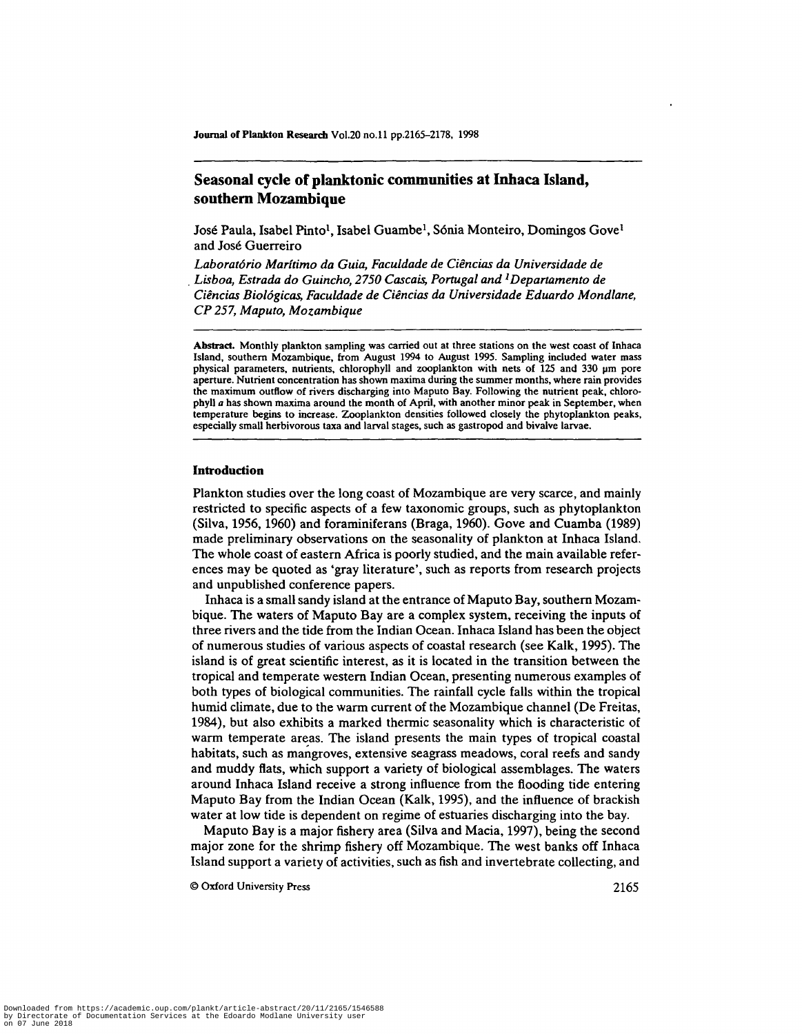# **Seasonal cycle of planktonic communities at Inhaca Island, southern Mozambique**

José Paula, Isabel Pinto<sup>l</sup>, Isabel Guambe<sup>l</sup>, Sónia Monteiro, Domingos Gove<sup>l</sup> and Jose Guerreiro

*Laboratorio Maritimo da Guia, Faculdade de Ciencias da Universidade de Lisboa, Estrada do Guincho, 2750 Cascais, Portugal and<sup>1</sup>Departamento de Ciencias Biologicas, Faculdade de Ciencias da Universidade Eduardo Mondlane, CP 257, Maputo, Mozambique*

**Abstract.** Monthly plankton sampling was carried out at three stations on the west coast of Inhaca Island, southern Mozambique, from August 1994 to August 1995. Sampling included water mass physical parameters, nutrients, chlorophyll and zooplankton with nets of 125 and 330 um pore aperture. Nutrient concentration has shown maxima during the summer months, where rain provides the maximum outflow of rivers discharging into Maputo Bay. Following the nutrient peak, chlorophyll *a* has shown maxima around the month of April, with another minor peak in September, when temperature begins to increase. Zooplankton densities followed closely the phytoplankton peaks, especially small herbivorous taxa and larval stages, such as gastropod and bivalve larvae.

# **Introduction**

Plankton studies over the long coast of Mozambique are very scarce, and mainly restricted to specific aspects of a few taxonomic groups, such as phytoplankton (Silva, 1956,1960) and foraminiferans (Braga, 1960). Gove and Cuamba (1989) made preliminary observations on the seasonality of plankton at Inhaca Island. The whole coast of eastern Africa is poorly studied, and the main available references may be quoted as 'gray literature', such as reports from research projects and unpublished conference papers.

Inhaca is a small sandy island at the entrance of Maputo Bay, southern Mozambique. The waters of Maputo Bay are a complex system, receiving the inputs of three rivers and the tide from the Indian Ocean. Inhaca Island has been the object of numerous studies of various aspects of coastal research (see Kalk, 1995). The island is of great scientific interest, as it is located in the transition between the tropical and temperate western Indian Ocean, presenting numerous examples of both types of biological communities. The rainfall cycle falls within the tropical humid climate, due to the warm current of the Mozambique channel (De Freitas, 1984), but also exhibits a marked thermic seasonality which is characteristic of warm temperate areas. The island presents the main types of tropical coastal habitats, such as mangroves, extensive seagrass meadows, coral reefs and sandy and muddy flats, which support a variety of biological assemblages. The waters around Inhaca Island receive a strong influence from the flooding tide entering Maputo Bay from the Indian Ocean (Kalk, 1995), and the influence of brackish water at low tide is dependent on regime of estuaries discharging into the bay.

Maputo Bay is a major fishery area (Silva and Macia, 1997), being the second major zone for the shrimp fishery off Mozambique. The west banks off Inhaca Island support a variety of activities, such as fish and invertebrate collecting, and

© Oxford University Press 2165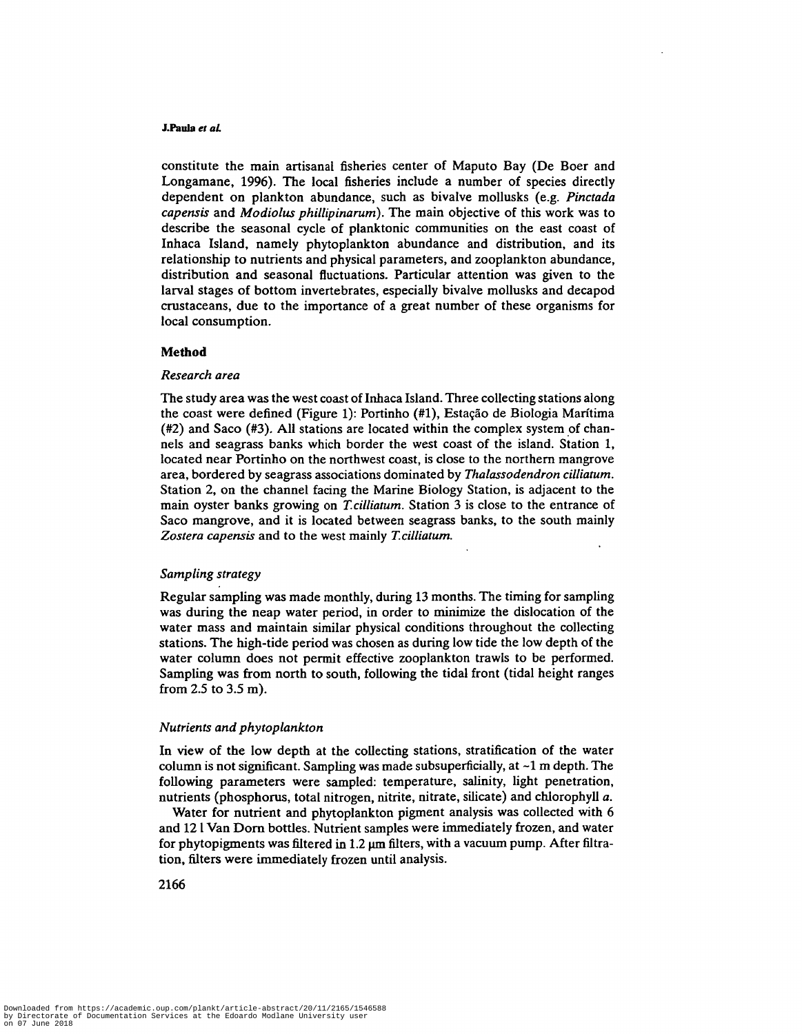### **J.Paola** *et aL*

constitute the main artisanal fisheries center of Maputo Bay (De Boer and Longamane, 1996). The local fisheries include a number of species directly dependent on plankton abundance, such as bivalve mollusks (e.g. *Pinctada capensis* and *Modiolus phillipinarum).* The main objective of this work was to describe the seasonal cycle of planktonic communities on the east coast of Inhaca Island, namely phytoplankton abundance and distribution, and its relationship to nutrients and physical parameters, and zooplankton abundance, distribution and seasonal fluctuations. Particular attention was given to the larval stages of bottom invertebrates, especially bivalve mollusks and decapod crustaceans, due to the importance of a great number of these organisms for local consumption.

### **Method**

### *Research area*

The study area was the west coast of Inhaca Island. Three collecting stations along the coast were defined (Figure 1): Portinho (#1), Estacao de Biologia Maritima (#2) and Saco (#3). All stations are located within the complex system of channels and seagrass banks which border the west coast of the island. Station 1, located near Portinho on the northwest coast, is close to the northern mangrove area, bordered by seagrass associations dominated by *Thalassodendron cilliatum.* Station 2, on the channel facing the Marine Biology Station, is adjacent to the main oyster banks growing on *T.cilliatum.* Station 3 is close to the entrance of Saco mangrove, and it is located between seagrass banks, to the south mainly *Zostera capensis* and to the west mainly *T.cilliatum.*

### *Sampling strategy*

Regular sampling was made monthly, during 13 months. The timing for sampling was during the neap water period, in order to minimize the dislocation of the water mass and maintain similar physical conditions throughout the collecting stations. The high-tide period was chosen as during low tide the low depth of the water column does not permit effective zooplankton trawls to be performed. Sampling was from north to south, following the tidal front (tidal height ranges from 2.5 to 3.5 m).

#### *Nutrients and phytoplankton*

In view of the low depth at the collecting stations, stratification of the water column is not significant. Sampling was made subsuperficially, at  $\sim$ 1 m depth. The following parameters were sampled: temperature, salinity, light penetration, nutrients (phosphorus, total nitrogen, nitrite, nitrate, silicate) and chlorophyll *a.*

Water for nutrient and phytoplankton pigment analysis was collected with 6 and 121 Van Dorn bottles. Nutrient samples were immediately frozen, and water for phytopigments was filtered in  $1.2 \mu m$  filters, with a vacuum pump. After filtration, filters were immediately frozen until analysis.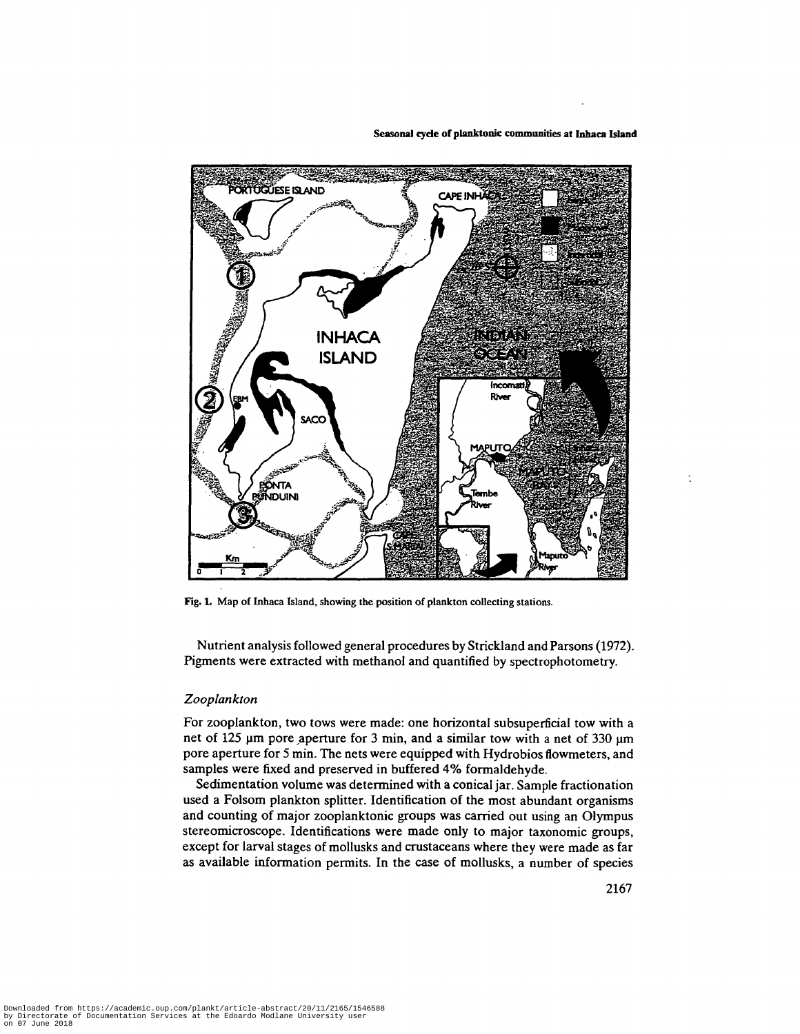

**Seasonal cycle of planktonic communities at Inhaca Island**

Fig. **1.** Map of Inhaca Island, showing the position of plankton collecting stations.

Nutrient analysis followed general procedures by Strickland and Parsons (1972). Pigments were extracted with methanol and quantified by spectrophotometry.

# *Zooplankton*

For zooplankton, two tows were made: one horizontal subsuperficial tow with a net of 125 µm pore aperture for 3 min, and a similar tow with a net of 330 µm pore aperture for 5 min. The nets were equipped with Hydrobios flowmeters, and samples were fixed and preserved in buffered 4% formaldehyde.

Sedimentation volume was determined with a conical jar. Sample fractionation used a Folsom plankton splitter. Identification of the most abundant organisms and counting of major zooplanktonic groups was carried out using an Olympus stereomicroscope. Identifications were made only to major taxonomic groups, except for larval stages of mollusks and crustaceans where they were made as far as available information permits. In the case of mollusks, a number of species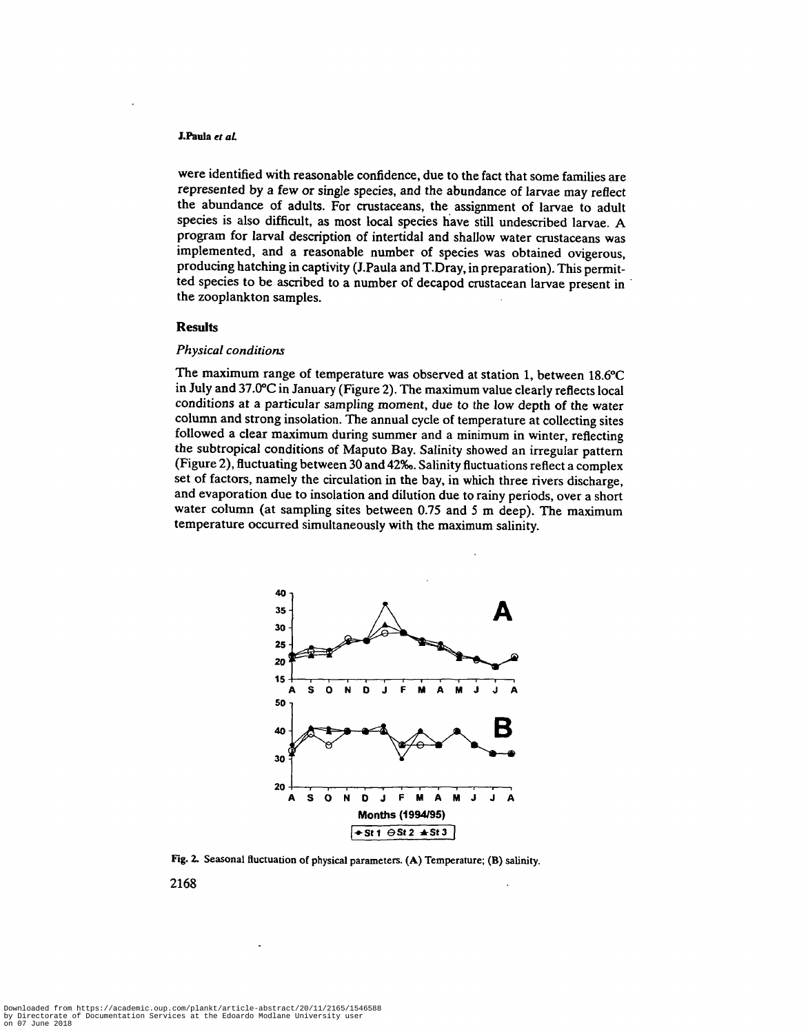#### **J.Paula** *et aL*

were identified with reasonable confidence, due to the fact that some families are represented by a few or single species, and the abundance of larvae may reflect the abundance of adults. For crustaceans, the assignment of larvae to adult species is also difficult, as most local species have still undescribed larvae. A program for larval description of intertidal and shallow water crustaceans was implemented, and a reasonable number of species was obtained ovigerous, producing hatching in captivity (J.Paula and T.Dray, in preparation). This permitted species to be ascribed to a number of decapod crustacean larvae present in the zooplankton samples.

### **Results**

# *Physical conditions*

The maximum range of temperature was observed at station 1, between 18.6°C in July and 37.0°C in January (Figure 2). The maximum value clearly reflects local conditions at a particular sampling moment, due to the low depth of the water column and strong insolation. The annual cycle of temperature at collecting sites followed a clear maximum during summer and a minimum in winter, reflecting the subtropical conditions of Maputo Bay. Salinity showed an irregular pattern (Figure 2), fluctuating between 30 and 42‰. Salinity fluctuations reflect a complex set of factors, namely the circulation in the bay, in which three rivers discharge, and evaporation due to insolation and dilution due to rainy periods, over a short water column (at sampling sites between 0.75 and 5 m deep). The maximum temperature occurred simultaneously with the maximum salinity.



Fig. 2. Seasonal fluctuation of physical parameters. (A) Temperature; (B) salinity.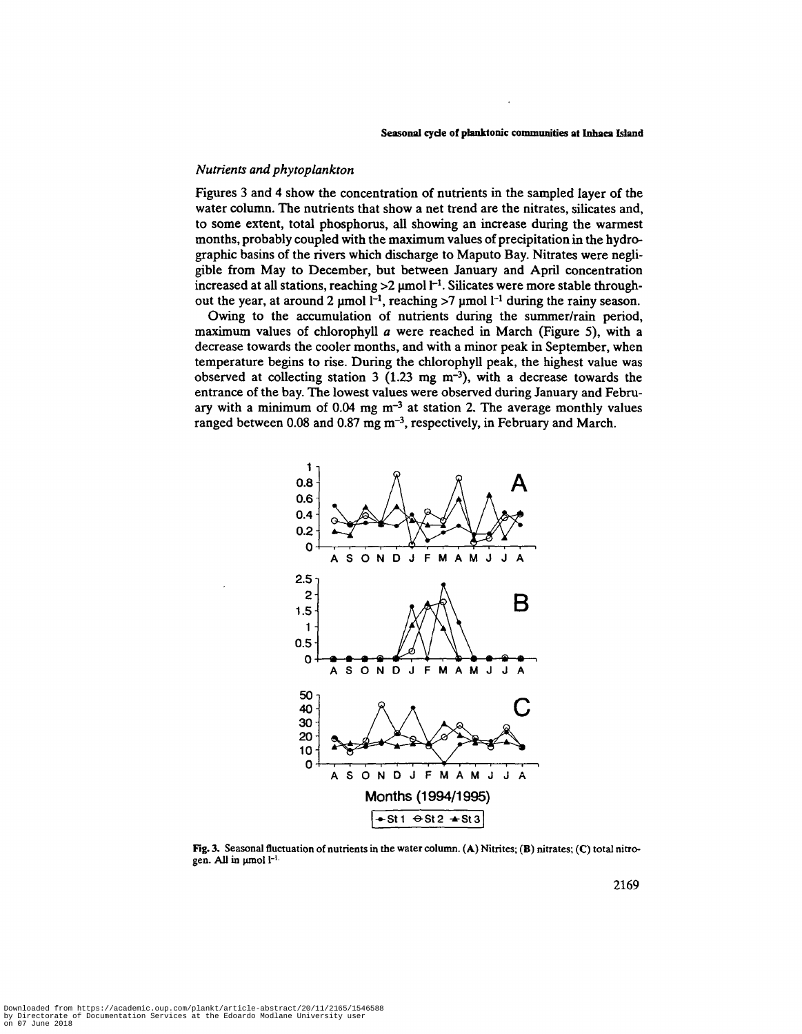# *Nutrients and phytoplankton*

Figures 3 and 4 show the concentration of nutrients in the sampled layer of the water column. The nutrients that show a net trend are the nitrates, silicates and, to some extent, total phosphorus, all showing an increase during the wannest months, probably coupled with the maximum values of precipitation in the hydrographic basins of the rivers which discharge to Maputo Bay. Nitrates were negligible from May to December, but between January and April concentration increased at all stations, reaching  $>2$  µmol  $l^{-1}$ . Silicates were more stable throughout the year, at around 2  $\mu$ mol  $l^{-1}$ , reaching >7  $\mu$ mol  $l^{-1}$  during the rainy season.

Owing to the accumulation of nutrients during the summer/rain period, maximum values of chlorophyll *a* were reached in March (Figure 5), with a decrease towards the cooler months, and with a minor peak in September, when temperature begins to rise. During the chlorophyll peak, the highest value was observed at collecting station 3  $(1.23 \text{ mg m}^{-3})$ , with a decrease towards the entrance of the bay. The lowest values were observed during January and February with a minimum of  $0.04$  mg m<sup>-3</sup> at station 2. The average monthly values ranged between 0.08 and 0.87 mg  $m^{-3}$ , respectively, in February and March.



**Fig.** 3. Seasonal fluctuation of nutrients in the water column. (A) Nitrites; (B) nitrates; (C) total nitrogen. All in µmol l<sup>-1.</sup>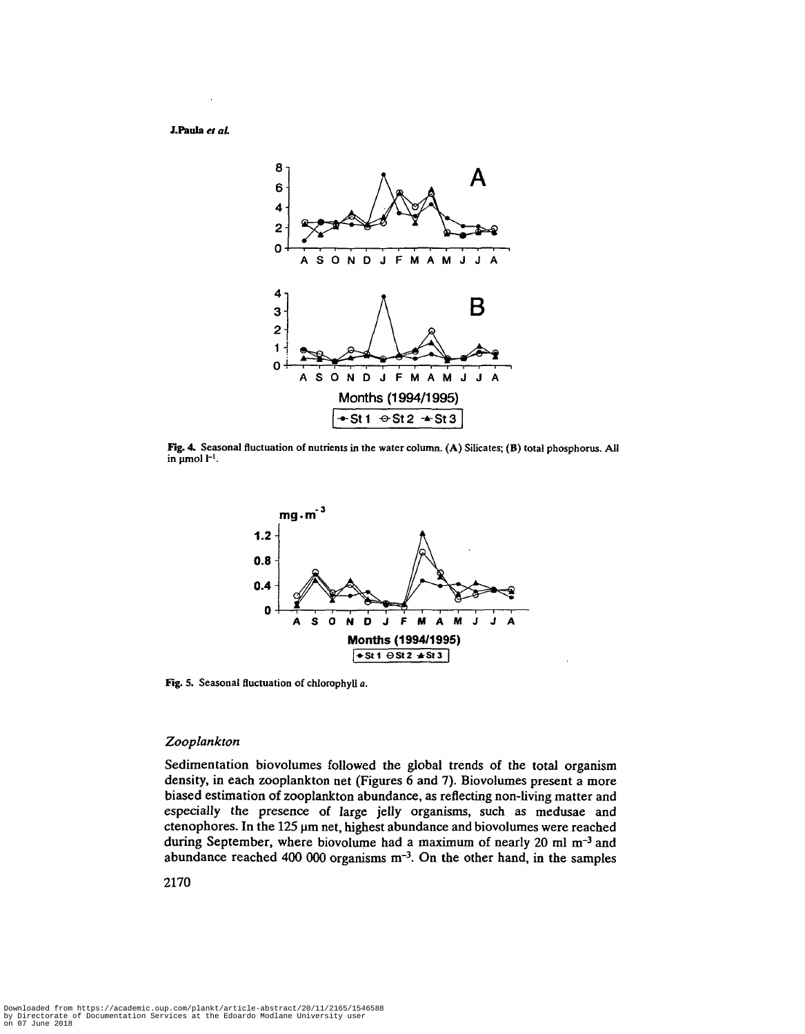**J.Paula** *et aL*



**Fig. 4.** Seasonal fluctuation of nutrients in the water column. (A) Silicates; (B) total phosphorus. All in  $\mu$  mol  $I^{-1}$ .



**Fig.** 5. Seasonal fluctuation of chlorophyll *a.*

# *Zooplankton*

Sedimentation biovolumes followed the global trends of the total organism density, in each zooplankton net (Figures 6 and 7). Biovolumes present a more biased estimation of zooplankton abundance, as reflecting non-living matter and especially the presence of large jelly organisms, such as medusae and ctenophores. In the 125 µm net, highest abundance and biovolumes were reached during September, where biovolume had a maximum of nearly 20 ml  $m^{-3}$  and abundance reached 400 000 organisms  $m^{-3}$ . On the other hand, in the samples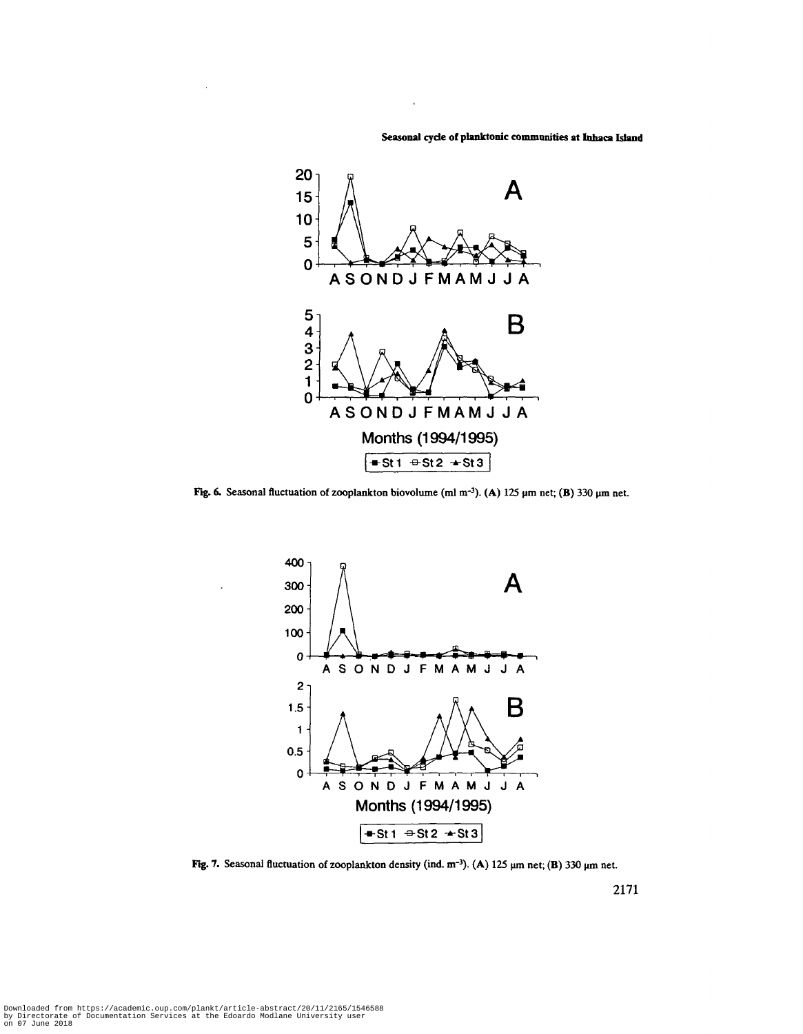**Seasonal cyde of planktonic communities at Inhaca Island**



Fig. 6. Seasonal fluctuation of zooplankton biovolume (ml m<sup>-3</sup>). (A) 125  $\mu$ m net; (B) 330  $\mu$ m net.



Fig. 7. Seasonal fluctuation of zooplankton density (ind. nr<sup>3</sup> ). **(A)** 125 um net; **(B)** 330 um net.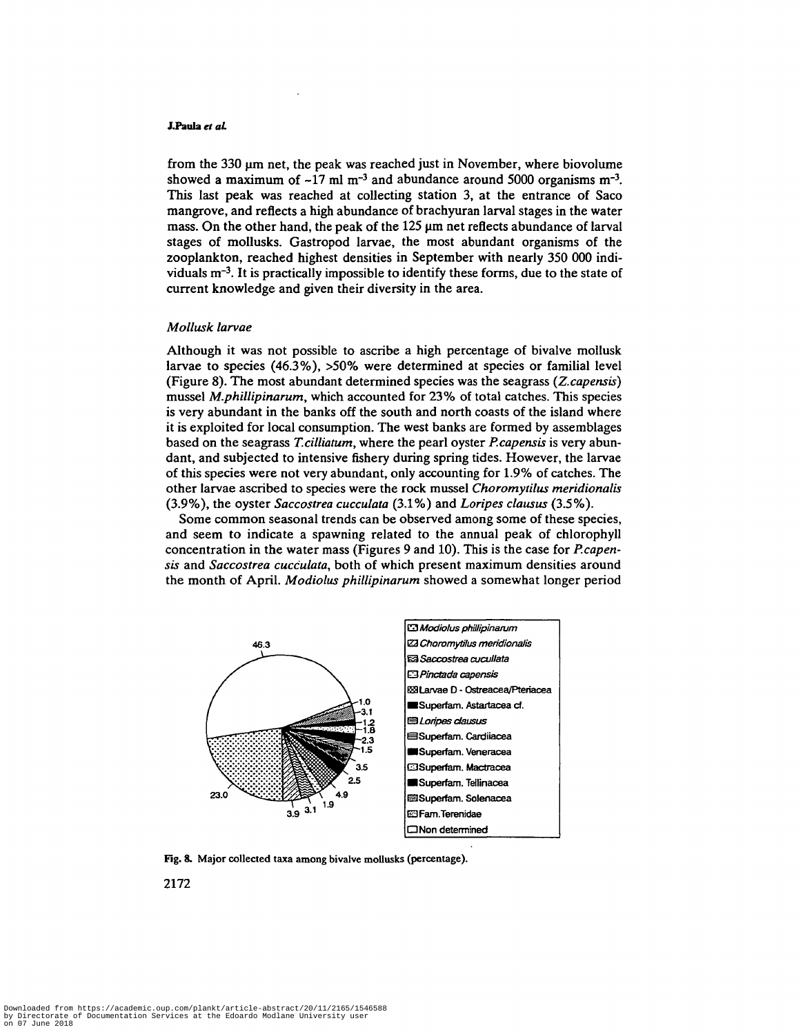### **J.Paula** *et at*

from the  $330 \mu m$  net, the peak was reached just in November, where biovolume showed a maximum of  $-17$  ml m<sup>-3</sup> and abundance around 5000 organisms m<sup>-3</sup>. This last peak was reached at collecting station 3, at the entrance of Saco mangrove, and reflects a high abundance of brachyuran larval stages in the water mass. On the other hand, the peak of the 125  $\mu$ m net reflects abundance of larval stages of mollusks. Gastropod larvae, the most abundant organisms of the zooplankton, reached highest densities in September with nearly 350 000 individuals m~<sup>3</sup> . It is practically impossible to identify these forms, due to the state of current knowledge and given their diversity in the area.

### *Mollusk larvae*

Although it was not possible to ascribe a high percentage of bivalve mollusk larvae to species (46.3%), >50% were determined at species or familial level (Figure 8). The most abundant determined species was the seagrass *(Z.capensis)* mussel *M.phillipinarum,* which accounted for 23% of total catches. This species is very abundant in the banks off the south and north coasts of the island where it is exploited for local consumption. The west banks are formed by assemblages based on the seagrass *T.cilliatum,* where the pearl oyster *P.capensis* is very abundant, and subjected to intensive fishery during spring tides. However, the larvae of this species were not very abundant, only accounting for 1.9% of catches. The other larvae ascribed to species were the rock mussel *Choromytilus meridionalis* (3.9%), the oyster *Saccostrea cucculata* (3.1%) and *Loripes clausus* (3.5%).

Some common seasonal trends can be observed among some of these species, and seem to indicate a spawning related to the annual peak of chlorophyll concentration in the water mass (Figures 9 and 10). This is the case for *P.capensis* and *Saccostrea cucculata,* both of which present maximum densities around the month of April. *Modiolus philUpinarum* showed a somewhat longer period



Fig. **8.** Major collected taxa among bivalve mollusks (percentage).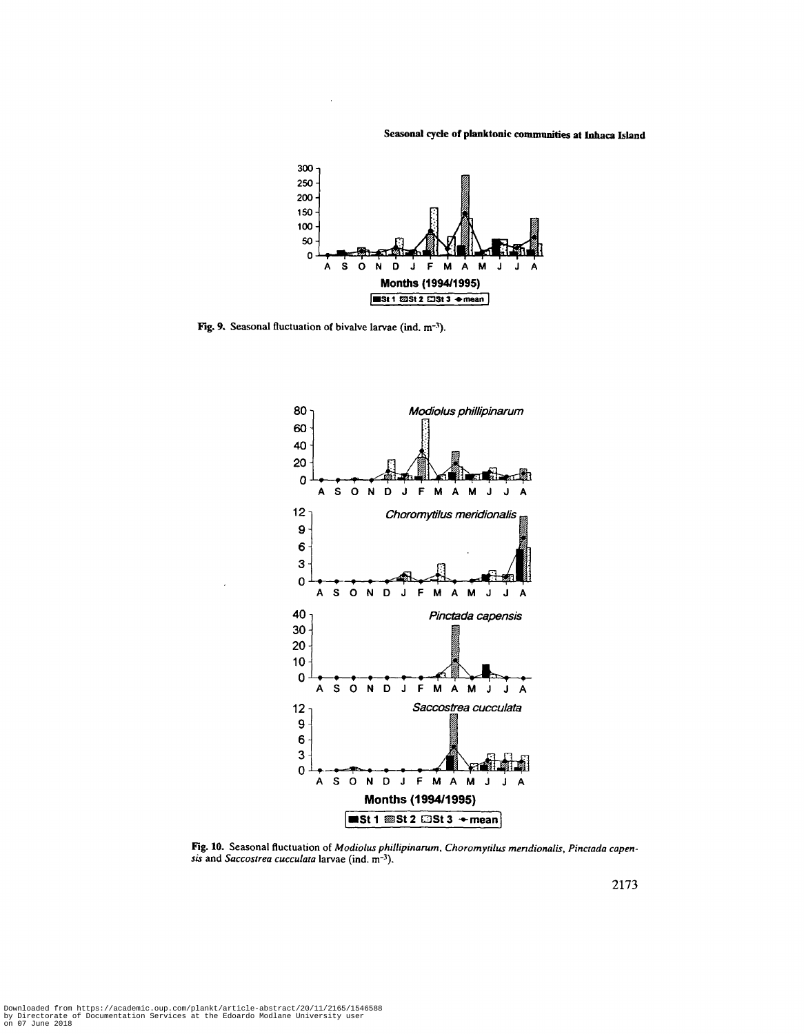**Seasonal cyde of planktonic communities at Inhaca Island**



Fig. 9. Seasonal fluctuation of bivalve larvae (ind. m<sup>-3</sup>).



Fig. 10. Seasonal fluctuation of *Modiolus phillipinarum*, *Choromytilus mendionalis*, *Pinctada capensis* and *Saccostrea cucculata* larvae (ind. m<sup>-3</sup>).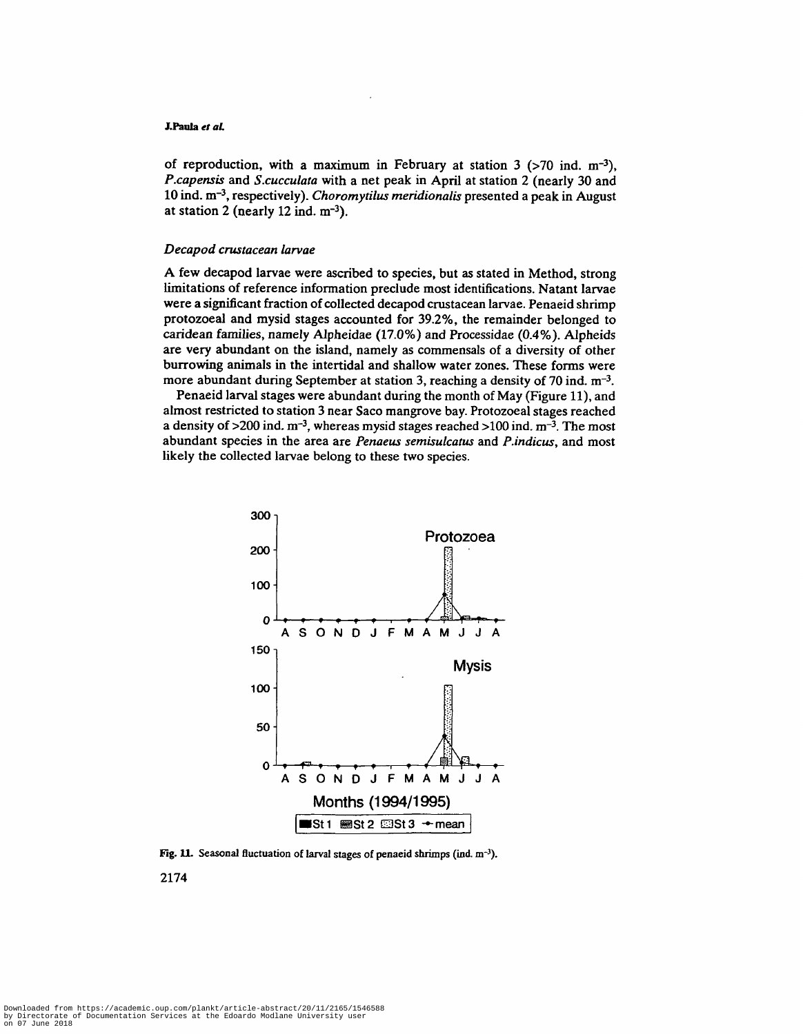# **J.Paula** *el at*

of reproduction, with a maximum in February at station  $3$  (>70 ind. m<sup>-3</sup>), *P.capensis* and *S.cucculata* with a net peak in April at station 2 (nearly 30 and 10 ind. m<sup>-3</sup>, respectively). *Choromytilus meridionalis* presented a peak in August at station 2 (nearly  $12$  ind.  $m^{-3}$ ).

# *Decapod crustacean larvae*

A few decapod larvae were ascribed to species, but as stated in Method, strong limitations of reference information preclude most identifications. Natant larvae were a significant fraction of collected decapod crustacean larvae. Penaeid shrimp protozoeal and mysid stages accounted for 39.2%, the remainder belonged to caridean families, namely Alpheidae (17.0%) and Processidae (0.4%). Alpheids are very abundant on the island, namely as commensals of a diversity of other burrowing animals in the intertidal and shallow water zones. These forms were more abundant during September at station 3, reaching a density of 70 ind. m<sup>-3</sup>.

Penaeid larval stages were abundant during the month of May (Figure 11), and almost restricted to station 3 near Saco mangrove bay. Protozoeal stages reached a density of  $>200$  ind.  $m^{-3}$ , whereas mysid stages reached  $>100$  ind.  $m^{-3}$ . The most abundant species in the area are *Penaeus semisulcatus* and *P.indicus,* and most likely the collected larvae belong to these two species.



Fig. 11. Seasonal fluctuation of larval stages of penaeid shrimps (ind. m<sup>-3</sup>).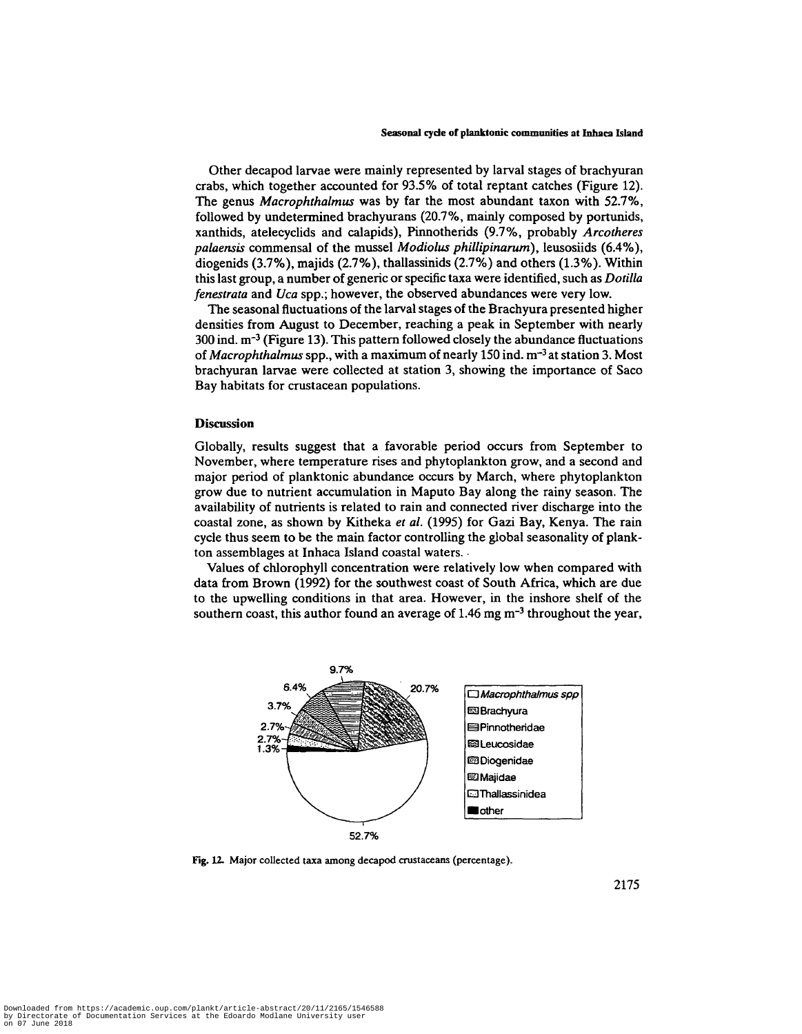Other decapod larvae were mainly represented by larval stages of brachyuran crabs, which together accounted for 93.5% of total reptant catches (Figure 12). The genus *Macrophthalmus* was by far the most abundant taxon with 52.7%, followed by undetermined brachyurans (20.7%, mainly composed by portunids, xanthids, atelecyclids and calapids), Pinnotherids (9.7%, probably *Arcotheres palaensis* commensal of the mussel *Modiolus phillipinarum),* leusosiids (6.4%), diogenids (3.7%), majids (2.7%), thallassinids (2.7%) and others (1.3%). Within this last group, a number of generic or specific taxa were identified, such as *Dotilla fenestrata* and *Uca* spp.; however, the observed abundances were very low.

The seasonal fluctuations of the larval stages of the Brachyura presented higher densities from August to December, reaching a peak in September with nearly  $300$  ind.  $m^{-3}$  (Figure 13). This pattern followed closely the abundance fluctuations of *Macrophthalmus* spp., with a maximum of nearly 150 ind. m<sup>-3</sup> at station 3. Most brachyuran larvae were collected at station 3, showing the importance of Saco Bay habitats for crustacean populations.

### **Discussion**

Globally, results suggest that a favorable period occurs from September to November, where temperature rises and phytoplankton grow, and a second and major period of planktonic abundance occurs by March, where phytoplankton grow due to nutrient accumulation in Maputo Bay along the rainy season. The availability of nutrients is related to rain and connected river discharge into the coastal zone, as shown by Kitheka *et al.* (1995) for Gazi Bay, Kenya. The rain cycle thus seem to be the main factor controlling the global seasonality of plankton assemblages at Inhaca Island coastal waters.

Values of chlorophyll concentration were relatively low when compared with data from Brown (1992) for the southwest coast of South Africa, which are due to the upwelling conditions in that area. However, in the inshore shelf of the southern coast, this author found an average of 1.46 mg  $m^{-3}$  throughout the year,



**Fig. 12.** Major collected taxa among decapod crustaceans (percentage).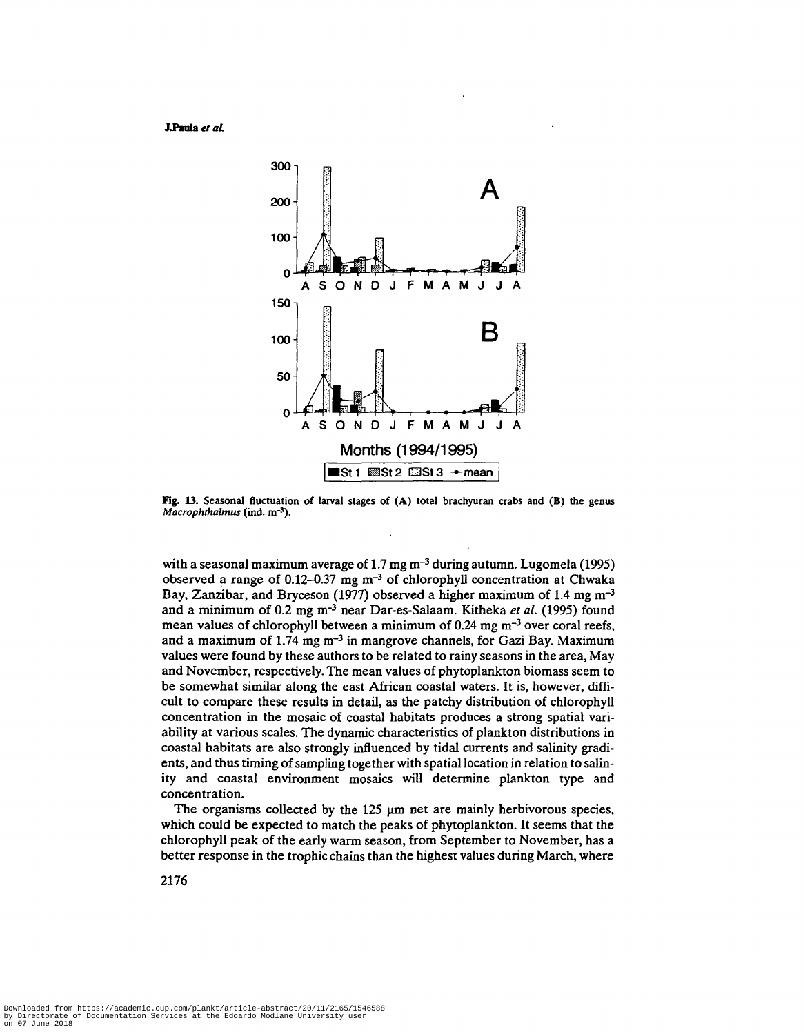**J-Panla** *el aL*



**Fig. 13. Seasonal fluctuation of larval stages of (A) total brachyuran crabs and (B) the genus** *Macrophthalmus* **(ind. m"-<sup>1</sup> ).**

with a seasonal maximum average of 1.7 mg m<sup>-3</sup> during autumn. Lugomela (1995) observed a range of 0.12-0.37 mg m<sup>-3</sup> of chlorophyll concentration at Chwaka Bay, Zanzibar, and Bryceson (1977) observed a higher maximum of 1.4 mg m<sup>-3</sup> and a minimum of 0.2 mg m<sup>-3</sup> near Dar-es-Salaam. Kitheka et al. (1995) found mean values of chlorophyll between a minimum of 0.24 mg m<sup>-3</sup> over coral reefs, and a maximum of 1.74 mg m<sup>-3</sup> in mangrove channels, for Gazi Bay. Maximum values were found by these authors to be related to rainy seasons in the area, May and November, respectively. The mean values of phytoplankton biomass seem to be somewhat similar along the east African coastal waters. It is, however, difficult to compare these results in detail, as the patchy distribution of chlorophyll concentration in the mosaic of coastal habitats produces a strong spatial variability at various scales. The dynamic characteristics of plankton distributions in coastal habitats are also strongly influenced by tidal currents and salinity gradients, and thus timing of sampling together with spatial location in relation to salinity and coastal environment mosaics will determine plankton type and concentration.

The organisms collected by the 125  $\mu$ m net are mainly herbivorous species, which could be expected to match the peaks of phytoplankton. It seems that the chlorophyll peak of the early warm season, from September to November, has a better response in the trophic chains than the highest values during March, where

Downloaded from https://academic.oup.com/plankt/article-abstract/20/11/2165/1546588 by Directorate of Documentation Services at the Edoardo Modlane University user on 07 June 2018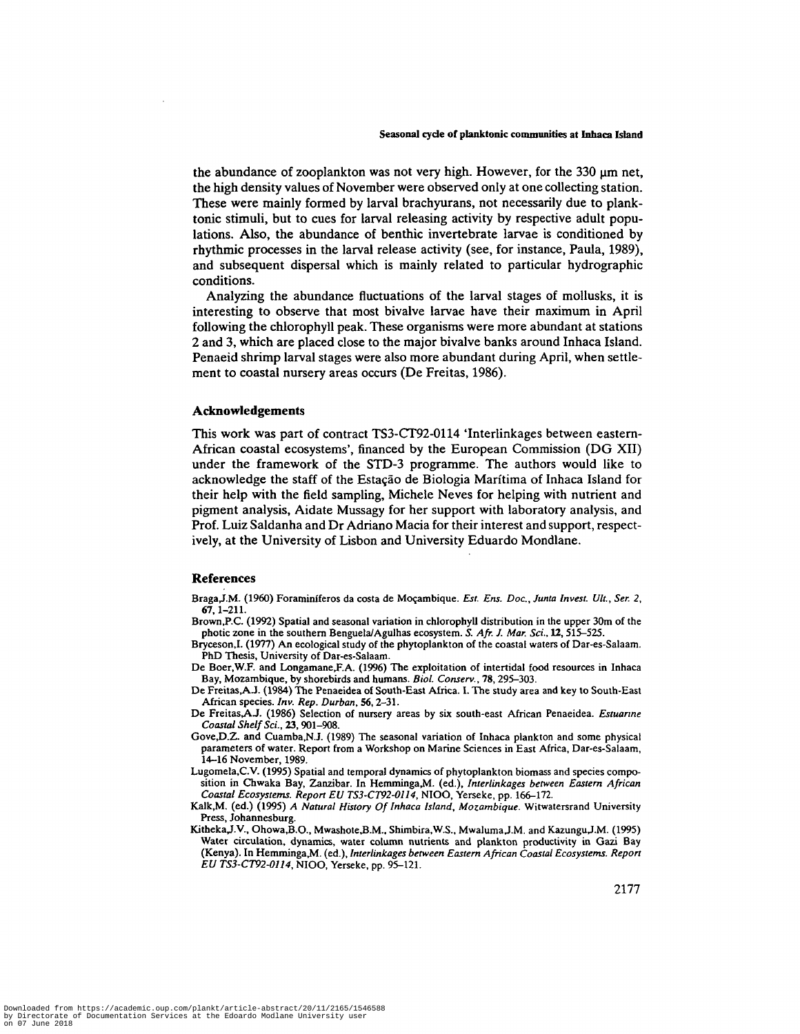the abundance of zooplankton was not very high. However, for the  $330 \mu m$  net, the high density values of November were observed only at one collecting station. These were mainly formed by larval brachyurans, not necessarily due to planktonic stimuli, but to cues for larval releasing activity by respective adult populations. Also, the abundance of benthic invertebrate larvae is conditioned by rhythmic processes in the larval release activity (see, for instance, Paula, 1989), and subsequent dispersal which is mainly related to particular hydrographic conditions.

Analyzing the abundance fluctuations of the larval stages of mollusks, it is interesting to observe that most bivalve larvae have their maximum in April following the chlorophyll peak. These organisms were more abundant at stations 2 and 3, which are placed close to the major bivalve banks around Inhaca Island. Penaeid shrimp larval stages were also more abundant during April, when settlement to coastal nursery areas occurs (De Freitas, 1986).

### **Acknowledgements**

This work was part of contract TS3-CT92-0114 'Interlinkages between eastern-African coastal ecosystems', financed by the European Commission (DG XII) under the framework of the STD-3 programme. The authors would like to acknowledge the staff of the Estação de Biologia Marítima of Inhaca Island for their help with the field sampling, Michele Neves for helping with nutrient and pigment analysis, Aidate Mussagy for her support with laboratory analysis, and Prof. Luiz Saldanha and Dr Adriano Macia for their interest and support, respectively, at the University of Lisbon and University Eduardo Mondlane.

#### **References**

- Braga,J.M. (1960) Foraminiferos da costa de Mozambique. *Est. Ens. Doc, Junta Invest. Ult., Ser. 2,* 67,1-211.
- Brown,P.C. (1992) Spatial and seasonal variation in chlorophyll distribution in the upper 30m of the photic zone in the southern Benguela/Agulhas ecosystem. *S. Afr. J. Mar. Sci.,* 12, 515-525.
- Bryceson.I. (1977) An ecological study of the phytoplankton of the coastal waters of Dar-es-Salaam. PhD Thesis, University of Dar-es-Salaam.
- De Boer.W.F. and Longamane,F.A. (1996) The exploitation of intertidal food resources in Inhaca Bay, Mozambique, by shorebirds and humans. *Biol. Conserv.,* 78,295-303.
- De Freitas,A\_J. (1984) The Penaeidea of South-East Africa. I. The study area and key to South-East African species. Inv. Rep. Durban, 56, 2-31.
- De Freitas,A.J. (1986) Selection of nursery areas by six south-east African Penaeidea. *Estuanne Coastal Shelf Sci.,* 23, 901-908.
- Gove,D.Z. and Cuamba,N.J. (1989) The seasonal variation of Inhaca plankton and some physical parameters of water. Report from a Workshop on Marine Sciences in East Africa, Dar-es-Salaam, 14-16 November, 1989.
- Lugomela,C.V. (1995) Spatial and temporal dynamics of phytoplankton biomass and species composition in Chwaka Bay, Zanzibar. In Hemminga,M. (ed.), *Interlinkages between Eastern African Coastal Ecosystems. Report EU TS3-CT92-01I4,* NIOO, Yerseke, pp. 166-172.
- Kalk,M. (ed.) (1995) *A Natural History Of Inhaca Island, Mozambique.* Witwatersrand University Press, Johannesburg.
- Kitheka,J.V., Ohowa,B.O., Mwashote,B.M., Shimbira,W.S., Mwaluma,J.M. and Kazungu,J.M. (1995) Water circulation, dynamics, water column nutrients and plankton productivity in Gazi Bay (Kenya). In Hemminga,M. (ed.), *Interlinkages between Eastern African Coastal Ecosystems. Report EU TS3-CT92-0114,* NIOO, Yerseke, pp. 95-121.